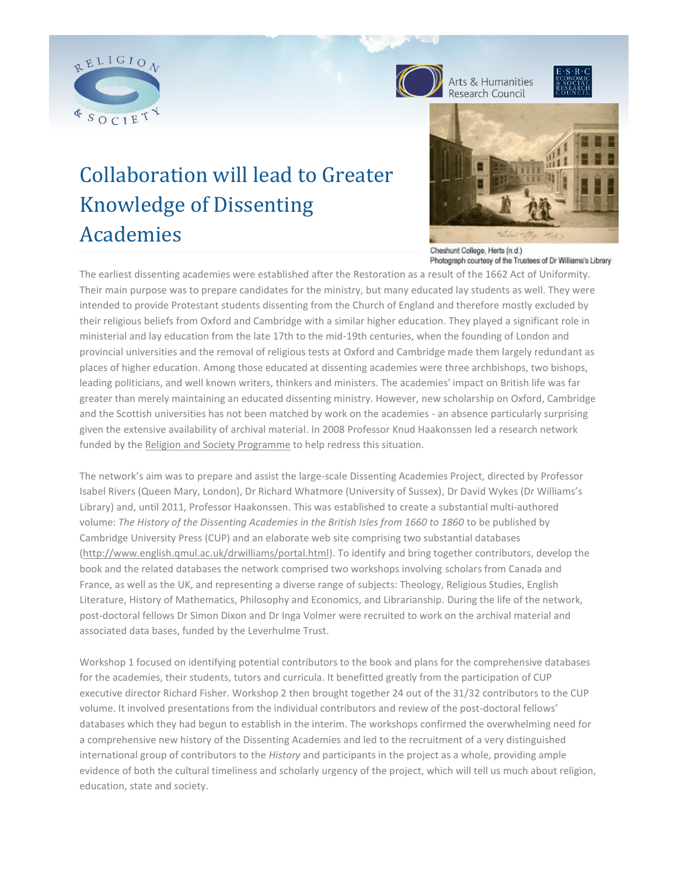





# Collaboration will lead to Greater Knowledge of Dissenting Academies



Cheshunt College, Herts (n.d.) Photograph courtesy of the Trustees of Dr Williams's Library

The earliest dissenting academies were established after the Restoration as a result of the 1662 Act of Uniformity. Their main purpose was to prepare candidates for the ministry, but many educated lay students as well. They were intended to provide Protestant students dissenting from the Church of England and therefore mostly excluded by their religious beliefs from Oxford and Cambridge with a similar higher education. They played a significant role in ministerial and lay education from the late 17th to the mid-19th centuries, when the founding of London and provincial universities and the removal of religious tests at Oxford and Cambridge made them largely redundant as places of higher education. Among those educated at dissenting academies were three archbishops, two bishops, leading politicians, and well known writers, thinkers and ministers. The academies' impact on British life was far greater than merely maintaining an educated dissenting ministry. However, new scholarship on Oxford, Cambridge and the Scottish universities has not been matched by work on the academies - an absence particularly surprising given the extensive availability of archival material. In 2008 Professor Knud Haakonssen led a research network funded by the [Religion and Society Programme](http://www.religionandsociety.org.uk/) to help redress this situation.

The network's aim was to prepare and assist the large-scale Dissenting Academies Project, directed by Professor Isabel Rivers (Queen Mary, London), Dr Richard Whatmore (University of Sussex), Dr David Wykes (Dr Williams's Library) and, until 2011, Professor Haakonssen. This was established to create a substantial multi-authored volume: The History of the Dissenting Academies in the British Isles from 1660 to 1860 to be published by Cambridge University Press (CUP) and an elaborate web site comprising two substantial databases [\(http://www.english.qmul.ac.uk/drwilliams/portal.html\)](http://www.english.qmul.ac.uk/drwilliams/portal.html). To identify and bring together contributors, develop the book and the related databases the network comprised two workshops involving scholars from Canada and France, as well as the UK, and representing a diverse range of subjects: Theology, Religious Studies, English Literature, History of Mathematics, Philosophy and Economics, and Librarianship. During the life of the network, post-doctoral fellows Dr Simon Dixon and Dr Inga Volmer were recruited to work on the archival material and associated data bases, funded by the Leverhulme Trust.

Workshop 1 focused on identifying potential contributors to the book and plans for the comprehensive databases for the academies, their students, tutors and curricula. It benefitted greatly from the participation of CUP executive director Richard Fisher. Workshop 2 then brought together 24 out of the 31/32 contributors to the CUP volume. It involved presentations from the individual contributors and review of the post-doctoral fellows' databases which they had begun to establish in the interim. The workshops confirmed the overwhelming need for a comprehensive new history of the Dissenting Academies and led to the recruitment of a very distinguished international group of contributors to the *History* and participants in the project as a whole, providing ample evidence of both the cultural timeliness and scholarly urgency of the project, which will tell us much about religion, education, state and society.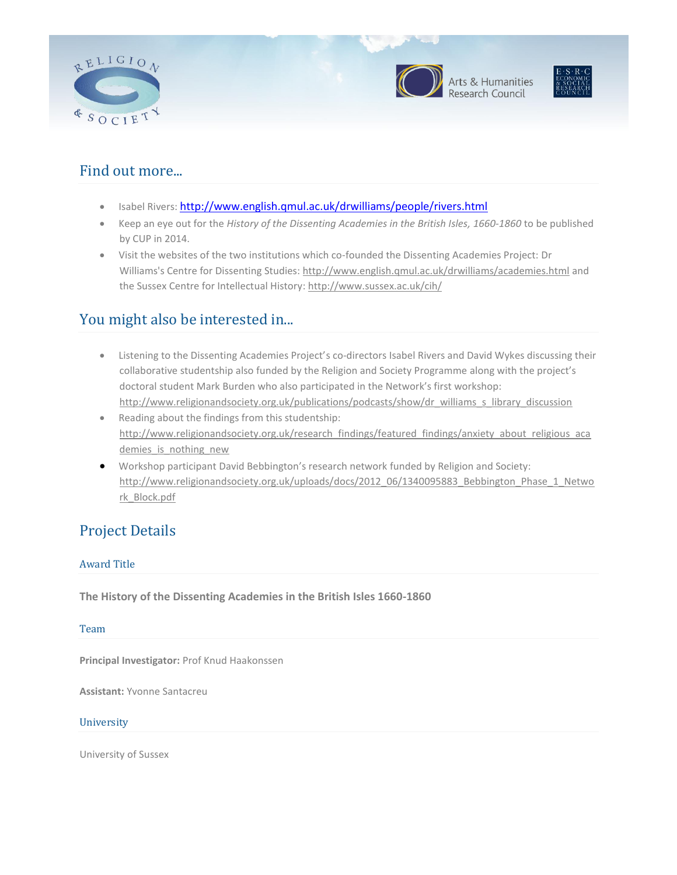





## Find out more...

- Isabel Rivers: <http://www.english.qmul.ac.uk/drwilliams/people/rivers.html>
- Keep an eye out for the *History of the Dissenting Academies in the British Isles, 1660-1860* to be published by CUP in 2014.
- Visit the websites of the two institutions which co-founded the Dissenting Academies Project: Dr Williams's Centre for Dissenting Studies: <http://www.english.qmul.ac.uk/drwilliams/academies.html> and the Sussex Centre for Intellectual History[: http://www.sussex.ac.uk/cih/](http://www.sussex.ac.uk/cih/)

## You might also be interested in...

- Listening to the Dissenting Academies Project's co-directors Isabel Rivers and David Wykes discussing their collaborative studentship also funded by the Religion and Society Programme along with the project's doctoral student Mark Burden who also participated in the Network's first workshop: [http://www.religionandsociety.org.uk/publications/podcasts/show/dr\\_williams\\_s\\_library\\_discussion](http://www.religionandsociety.org.uk/publications/podcasts/show/dr_williams_s_library_discussion)
- Reading about the findings from this studentship: [http://www.religionandsociety.org.uk/research\\_findings/featured\\_findings/anxiety\\_about\\_religious\\_aca](http://www.religionandsociety.org.uk/research_findings/featured_findings/anxiety_about_religious_academies_is_nothing_new) demies is nothing new
- Workshop participant David Bebbington's research network funded by Religion and Society: [http://www.religionandsociety.org.uk/uploads/docs/2012\\_06/1340095883\\_Bebbington\\_Phase\\_1\\_Netwo](http://www.religionandsociety.org.uk/uploads/docs/2012_06/1340095883_Bebbington_Phase_1_Network_Block.pdf) [rk\\_Block.pdf](http://www.religionandsociety.org.uk/uploads/docs/2012_06/1340095883_Bebbington_Phase_1_Network_Block.pdf)

## Project Details

### Award Title

**The History of the Dissenting Academies in the British Isles 1660-1860**

#### Team

**Principal Investigator:** Prof Knud Haakonssen

**Assistant:** Yvonne Santacreu

#### **University**

University of Sussex